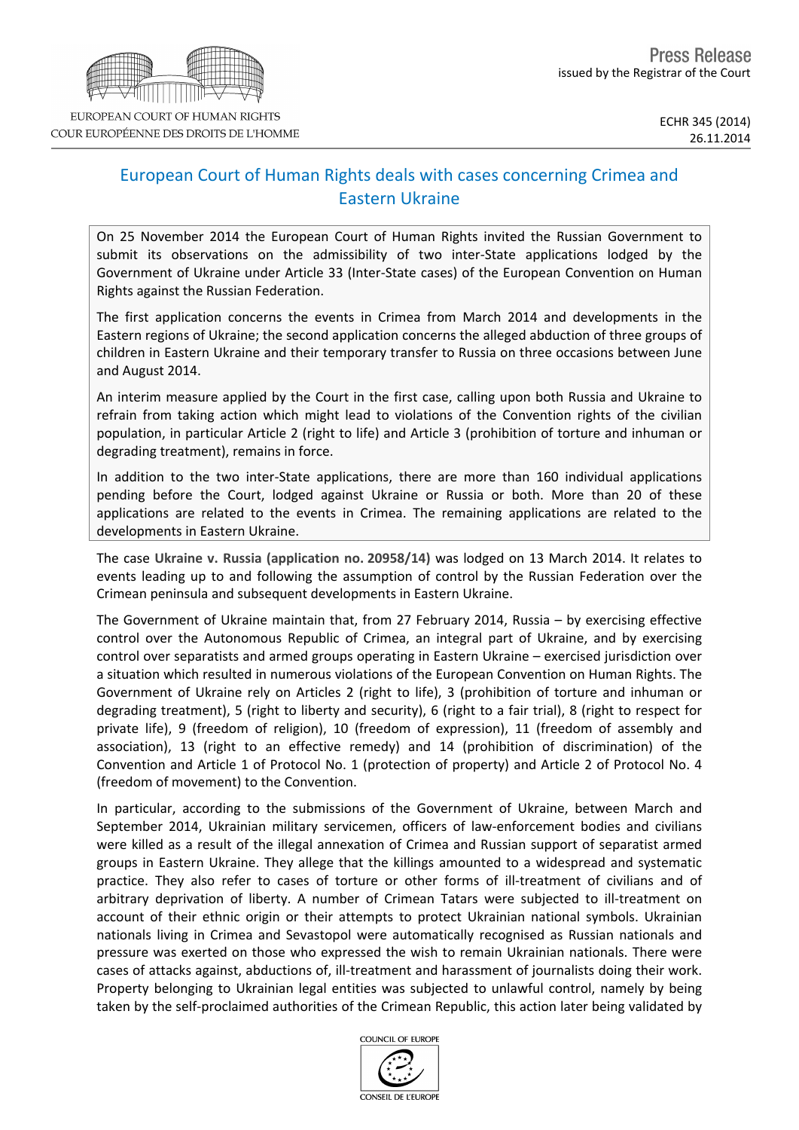

## European Court of Human Rights deals with cases concerning Crimea and Eastern Ukraine

On 25 November 2014 the European Court of Human Rights invited the Russian Government to submit its observations on the admissibility of two inter-State applications lodged by the Government of Ukraine under Article 33 (Inter-State cases) of the European Convention on Human Rights against the Russian Federation.

The first application concerns the events in Crimea from March 2014 and developments in the Eastern regions of Ukraine; the second application concerns the alleged abduction of three groups of children in Eastern Ukraine and their temporary transfer to Russia on three occasions between June and August 2014.

An interim measure applied by the Court in the first case, calling upon both Russia and Ukraine to refrain from taking action which might lead to violations of the Convention rights of the civilian population, in particular Article 2 (right to life) and Article 3 (prohibition of torture and inhuman or degrading treatment), remains in force.

In addition to the two inter-State applications, there are more than 160 individual applications pending before the Court, lodged against Ukraine or Russia or both. More than 20 of these applications are related to the events in Crimea. The remaining applications are related to the developments in Eastern Ukraine.

The case **Ukraine v. Russia (application no. 20958/14)** was lodged on 13 March 2014. It relates to events leading up to and following the assumption of control by the Russian Federation over the Crimean peninsula and subsequent developments in Eastern Ukraine.

The Government of Ukraine maintain that, from 27 February 2014, Russia – by exercising effective control over the Autonomous Republic of Crimea, an integral part of Ukraine, and by exercising control over separatists and armed groups operating in Eastern Ukraine – exercised jurisdiction over a situation which resulted in numerous violations of the European Convention on Human Rights. The Government of Ukraine rely on Articles 2 (right to life), 3 (prohibition of torture and inhuman or degrading treatment), 5 (right to liberty and security), 6 (right to a fair trial), 8 (right to respect for private life), 9 (freedom of religion), 10 (freedom of expression), 11 (freedom of assembly and association), 13 (right to an effective remedy) and 14 (prohibition of discrimination) of the Convention and Article 1 of Protocol No. 1 (protection of property) and Article 2 of Protocol No. 4 (freedom of movement) to the Convention.

In particular, according to the submissions of the Government of Ukraine, between March and September 2014, Ukrainian military servicemen, officers of law-enforcement bodies and civilians were killed as a result of the illegal annexation of Crimea and Russian support of separatist armed groups in Eastern Ukraine. They allege that the killings amounted to a widespread and systematic practice. They also refer to cases of torture or other forms of ill-treatment of civilians and of arbitrary deprivation of liberty. A number of Crimean Tatars were subjected to ill-treatment on account of their ethnic origin or their attempts to protect Ukrainian national symbols. Ukrainian nationals living in Crimea and Sevastopol were automatically recognised as Russian nationals and pressure was exerted on those who expressed the wish to remain Ukrainian nationals. There were cases of attacks against, abductions of, ill-treatment and harassment of journalists doing their work. Property belonging to Ukrainian legal entities was subjected to unlawful control, namely by being taken by the self-proclaimed authorities of the Crimean Republic, this action later being validated by

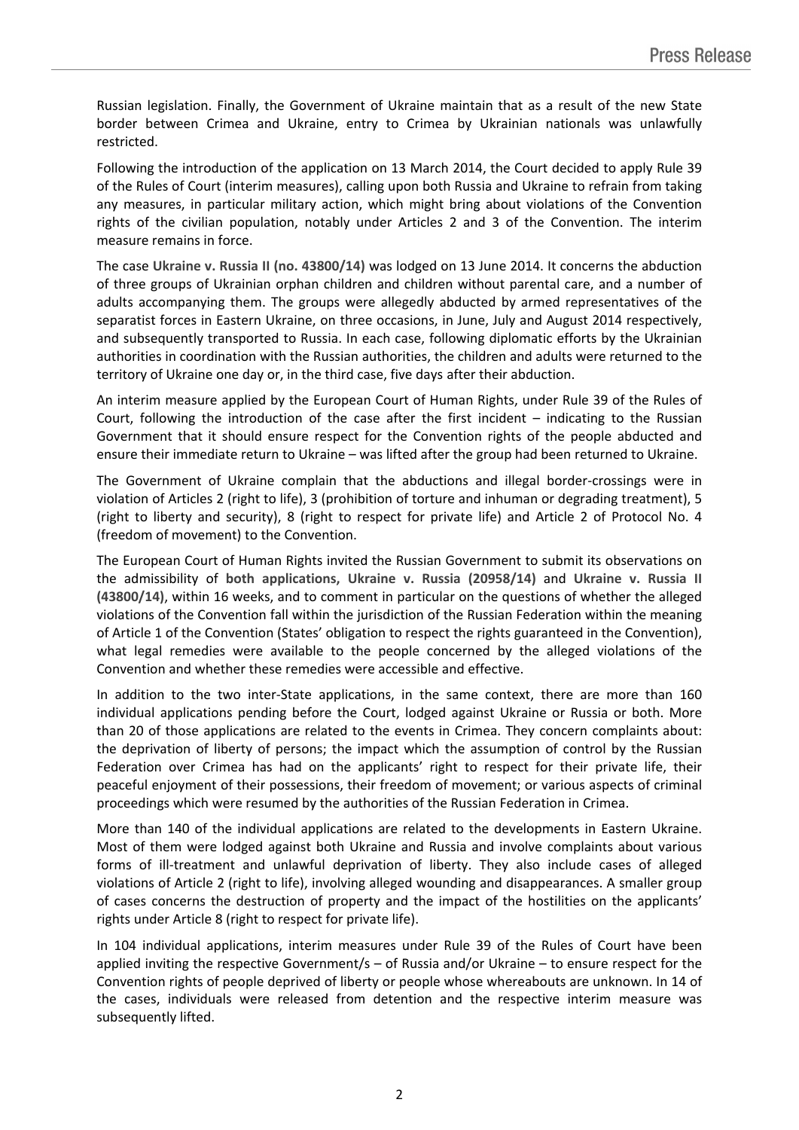Russian legislation. Finally, the Government of Ukraine maintain that as a result of the new State border between Crimea and Ukraine, entry to Crimea by Ukrainian nationals was unlawfully restricted.

Following the introduction of the application on 13 March 2014, the Court decided to apply Rule 39 of the Rules of Court (interim measures), calling upon both Russia and Ukraine to refrain from taking any measures, in particular military action, which might bring about violations of the Convention rights of the civilian population, notably under Articles 2 and 3 of the Convention. The interim measure remains in force.

The case **Ukraine v. Russia II (no. 43800/14)** was lodged on 13 June 2014. It concerns the abduction of three groups of Ukrainian orphan children and children without parental care, and a number of adults accompanying them. The groups were allegedly abducted by armed representatives of the separatist forces in Eastern Ukraine, on three occasions, in June, July and August 2014 respectively, and subsequently transported to Russia. In each case, following diplomatic efforts by the Ukrainian authorities in coordination with the Russian authorities, the children and adults were returned to the territory of Ukraine one day or, in the third case, five days after their abduction.

An interim measure applied by the European Court of Human Rights, under Rule 39 of the Rules of Court, following the introduction of the case after the first incident – indicating to the Russian Government that it should ensure respect for the Convention rights of the people abducted and ensure their immediate return to Ukraine – was lifted after the group had been returned to Ukraine.

The Government of Ukraine complain that the abductions and illegal border-crossings were in violation of Articles 2 (right to life), 3 (prohibition of torture and inhuman or degrading treatment), 5 (right to liberty and security), 8 (right to respect for private life) and Article 2 of Protocol No. 4 (freedom of movement) to the Convention.

The European Court of Human Rights invited the Russian Government to submit its observations on the admissibility of **both applications, Ukraine v. Russia (20958/14)** and **Ukraine v. Russia II (43800/14)**, within 16 weeks, and to comment in particular on the questions of whether the alleged violations of the Convention fall within the jurisdiction of the Russian Federation within the meaning of Article 1 of the Convention (States' obligation to respect the rights guaranteed in the Convention), what legal remedies were available to the people concerned by the alleged violations of the Convention and whether these remedies were accessible and effective.

In addition to the two inter-State applications, in the same context, there are more than 160 individual applications pending before the Court, lodged against Ukraine or Russia or both. More than 20 of those applications are related to the events in Crimea. They concern complaints about: the deprivation of liberty of persons; the impact which the assumption of control by the Russian Federation over Crimea has had on the applicants' right to respect for their private life, their peaceful enjoyment of their possessions, their freedom of movement; or various aspects of criminal proceedings which were resumed by the authorities of the Russian Federation in Crimea.

More than 140 of the individual applications are related to the developments in Eastern Ukraine. Most of them were lodged against both Ukraine and Russia and involve complaints about various forms of ill-treatment and unlawful deprivation of liberty. They also include cases of alleged violations of Article 2 (right to life), involving alleged wounding and disappearances. A smaller group of cases concerns the destruction of property and the impact of the hostilities on the applicants' rights under Article 8 (right to respect for private life).

In 104 individual applications, interim measures under Rule 39 of the Rules of Court have been applied inviting the respective Government/s – of Russia and/or Ukraine – to ensure respect for the Convention rights of people deprived of liberty or people whose whereabouts are unknown. In 14 of the cases, individuals were released from detention and the respective interim measure was subsequently lifted.